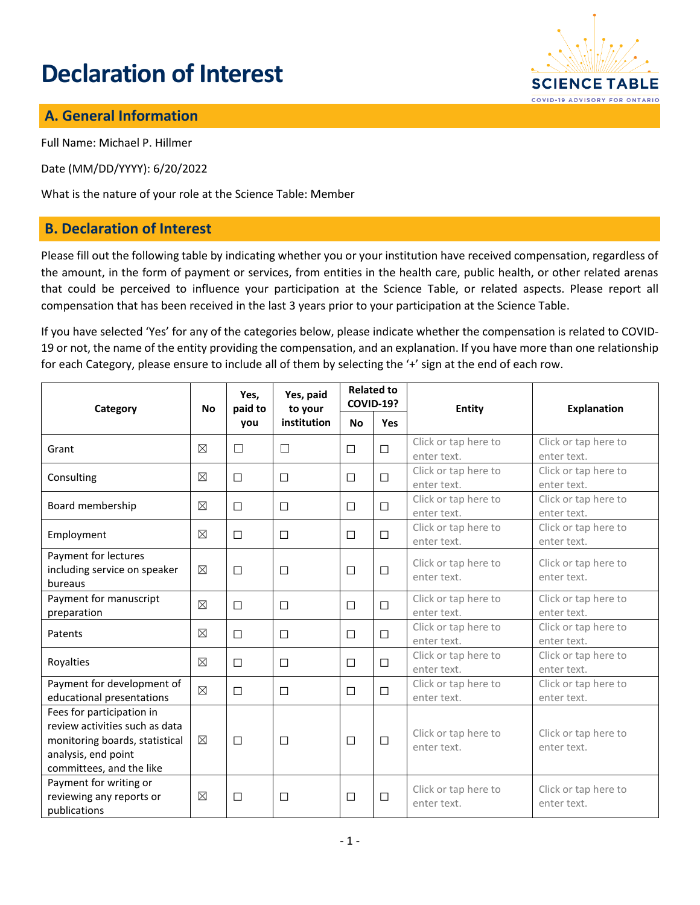# **Declaration of Interest**



## **A. General Information**

Full Name: Michael P. Hillmer

Date (MM/DD/YYYY): 6/20/2022

What is the nature of your role at the Science Table: Member

#### **B. Declaration of Interest**

Please fill out the following table by indicating whether you or your institution have received compensation, regardless of the amount, in the form of payment or services, from entities in the health care, public health, or other related arenas that could be perceived to influence your participation at the Science Table, or related aspects. Please report all compensation that has been received in the last 3 years prior to your participation at the Science Table.

If you have selected 'Yes' for any of the categories below, please indicate whether the compensation is related to COVID-19 or not, the name of the entity providing the compensation, and an explanation. If you have more than one relationship for each Category, please ensure to include all of them by selecting the '+' sign at the end of each row.

| Category                                                                                                                                         | <b>No</b>   | Yes,<br>paid to<br>you | Yes, paid<br>to your<br>institution | <b>Related to</b><br><b>COVID-19?</b> |        | Entity                              | <b>Explanation</b>                  |
|--------------------------------------------------------------------------------------------------------------------------------------------------|-------------|------------------------|-------------------------------------|---------------------------------------|--------|-------------------------------------|-------------------------------------|
|                                                                                                                                                  |             |                        |                                     | <b>No</b>                             | Yes    |                                     |                                     |
| Grant                                                                                                                                            | $\boxtimes$ | П                      | П                                   | $\Box$                                | $\Box$ | Click or tap here to<br>enter text. | Click or tap here to<br>enter text. |
| Consulting                                                                                                                                       | $\boxtimes$ | $\Box$                 | $\Box$                              | □                                     | $\Box$ | Click or tap here to<br>enter text. | Click or tap here to<br>enter text. |
| Board membership                                                                                                                                 | $\boxtimes$ | $\Box$                 | $\Box$                              | $\Box$                                | $\Box$ | Click or tap here to<br>enter text. | Click or tap here to<br>enter text. |
| Employment                                                                                                                                       | $\boxtimes$ | $\Box$                 | $\Box$                              | □                                     | $\Box$ | Click or tap here to<br>enter text. | Click or tap here to<br>enter text. |
| Payment for lectures<br>including service on speaker<br>bureaus                                                                                  | $\boxtimes$ | $\Box$                 | $\Box$                              | $\Box$                                | $\Box$ | Click or tap here to<br>enter text. | Click or tap here to<br>enter text. |
| Payment for manuscript<br>preparation                                                                                                            | $\boxtimes$ | $\Box$                 | $\Box$                              | $\Box$                                | $\Box$ | Click or tap here to<br>enter text. | Click or tap here to<br>enter text. |
| Patents                                                                                                                                          | $\boxtimes$ | $\Box$                 | $\Box$                              | □                                     | $\Box$ | Click or tap here to<br>enter text. | Click or tap here to<br>enter text. |
| Royalties                                                                                                                                        | $\boxtimes$ | $\Box$                 | $\Box$                              | $\Box$                                | $\Box$ | Click or tap here to<br>enter text. | Click or tap here to<br>enter text. |
| Payment for development of<br>educational presentations                                                                                          | $\boxtimes$ | $\Box$                 | $\Box$                              | $\Box$                                | $\Box$ | Click or tap here to<br>enter text. | Click or tap here to<br>enter text. |
| Fees for participation in<br>review activities such as data<br>monitoring boards, statistical<br>analysis, end point<br>committees, and the like | $\boxtimes$ | $\Box$                 | $\Box$                              | $\Box$                                | $\Box$ | Click or tap here to<br>enter text. | Click or tap here to<br>enter text. |
| Payment for writing or<br>reviewing any reports or<br>publications                                                                               | $\boxtimes$ | $\Box$                 | □                                   | $\Box$                                | $\Box$ | Click or tap here to<br>enter text. | Click or tap here to<br>enter text. |